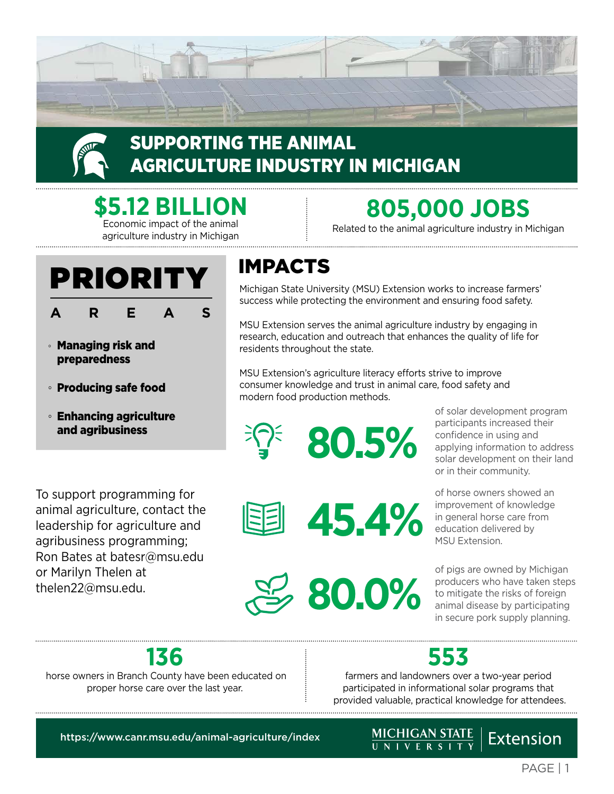



## SUPPORTING THE ANIMAL AGRICULTURE INDUSTRY IN MICHIGAN

**\$5.12 BILLION** Economic impact of the animal

agriculture industry in Michigan

## PRIORITY **AREAS**

- Managing risk and preparedness
- Producing safe food
- Enhancing agriculture and agribusiness

To support programming for animal agriculture, contact the leadership for agriculture and agribusiness programming; Ron Bates at [batesr@msu.edu](mailto:batesr%40msu.edu%20?subject=)  or Marilyn Thelen at [thelen22@msu.edu](mailto:thelen22%40msu.edu?subject=).

## IMPACTS

Michigan State University (MSU) Extension works to increase farmers' success while protecting the environment and ensuring food safety.

**805,000 JOBS** Related to the animal agriculture industry in Michigan

MSU Extension serves the animal agriculture industry by engaging in research, education and outreach that enhances the quality of life for residents throughout the state.

MSU Extension's agriculture literacy efforts strive to improve consumer knowledge and trust in animal care, food safety and modern food production methods.

**45.4%**



of solar development program participants increased their confidence in using and applying information to address solar development on their land or in their community.

of horse owners showed an improvement of knowledge in general horse care from education delivered by MSU Extension.

**80.0%** of pigs are owned by Michigan producers who have taken steps to mitigate the risks of foreign animal disease by participating in secure pork supply planning.

## **136**

 horse owners in Branch County have been educated on proper horse care over the last year.

## **553**

farmers and landowners over a two-year period participated in informational solar programs that provided valuable, practical knowledge for attendees.

<https://www.canr.msu.edu/animal-agriculture/index>

## Extension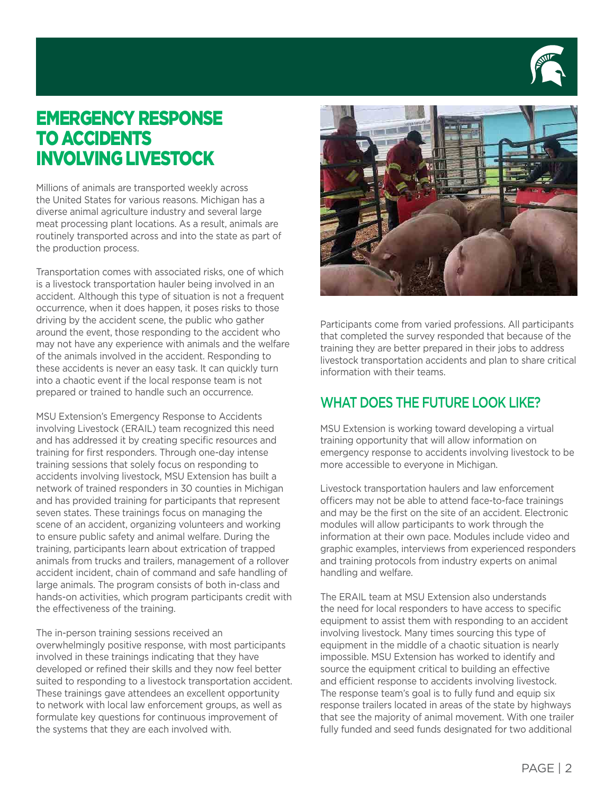

### EMERGENCY RESPONSE TO ACCIDENTS INVOLVING LIVESTOCK

Millions of animals are transported weekly across the United States for various reasons. Michigan has a diverse animal agriculture industry and several large meat processing plant locations. As a result, animals are routinely transported across and into the state as part of the production process.

Transportation comes with associated risks, one of which is a livestock transportation hauler being involved in an accident. Although this type of situation is not a frequent occurrence, when it does happen, it poses risks to those driving by the accident scene, the public who gather around the event, those responding to the accident who may not have any experience with animals and the welfare of the animals involved in the accident. Responding to these accidents is never an easy task. It can quickly turn into a chaotic event if the local response team is not prepared or trained to handle such an occurrence.

MSU Extension's Emergency Response to Accidents involving Livestock (ERAIL) team recognized this need and has addressed it by creating specific resources and training for first responders. Through one-day intense training sessions that solely focus on responding to accidents involving livestock, MSU Extension has built a network of trained responders in 30 counties in Michigan and has provided training for participants that represent seven states. These trainings focus on managing the scene of an accident, organizing volunteers and working to ensure public safety and animal welfare. During the training, participants learn about extrication of trapped animals from trucks and trailers, management of a rollover accident incident, chain of command and safe handling of large animals. The program consists of both in-class and hands-on activities, which program participants credit with the effectiveness of the training.

The in-person training sessions received an overwhelmingly positive response, with most participants involved in these trainings indicating that they have developed or refined their skills and they now feel better suited to responding to a livestock transportation accident. These trainings gave attendees an excellent opportunity to network with local law enforcement groups, as well as formulate key questions for continuous improvement of the systems that they are each involved with.



Participants come from varied professions. All participants that completed the survey responded that because of the training they are better prepared in their jobs to address livestock transportation accidents and plan to share critical information with their teams.

#### WHAT DOES THE FUTURE LOOK LIKE?

MSU Extension is working toward developing a virtual training opportunity that will allow information on emergency response to accidents involving livestock to be more accessible to everyone in Michigan.

Livestock transportation haulers and law enforcement officers may not be able to attend face-to-face trainings and may be the first on the site of an accident. Electronic modules will allow participants to work through the information at their own pace. Modules include video and graphic examples, interviews from experienced responders and training protocols from industry experts on animal handling and welfare.

The ERAIL team at MSU Extension also understands the need for local responders to have access to specific equipment to assist them with responding to an accident involving livestock. Many times sourcing this type of equipment in the middle of a chaotic situation is nearly impossible. MSU Extension has worked to identify and source the equipment critical to building an effective and efficient response to accidents involving livestock. The response team's goal is to fully fund and equip six response trailers located in areas of the state by highways that see the majority of animal movement. With one trailer fully funded and seed funds designated for two additional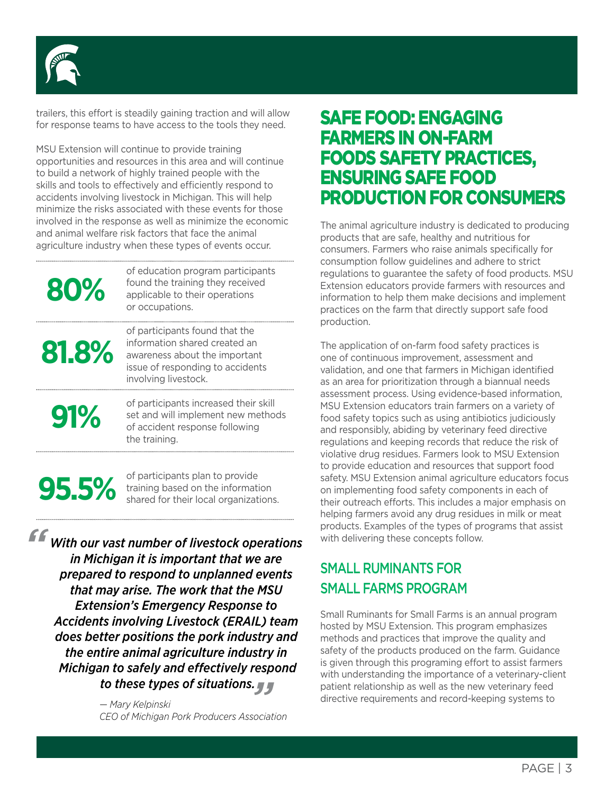

trailers, this effort is steadily gaining traction and will allow for response teams to have access to the tools they need.

MSU Extension will continue to provide training opportunities and resources in this area and will continue to build a network of highly trained people with the skills and tools to effectively and efficiently respond to accidents involving livestock in Michigan. This will help minimize the risks associated with these events for those involved in the response as well as minimize the economic and animal welfare risk factors that face the animal agriculture industry when these types of events occur.

**80%**

of education program participants found the training they received applicable to their operations or occupations.

# **81.8%**

of participants found that the information shared created an awareness about the important issue of responding to accidents involving livestock. 

of participants increased their skill<br>set and will implement new metho set and will implement new methods of accident response following the training.

**95.5%** of participants plan to provide<br>training based on the informat training based on the information shared for their local organizations.

an to safely and effectively respo<br>to these types of situations. *\*\*\* " With our vast number of livestock operations in Michigan it is important that we are prepared to respond to unplanned events that may arise. The work that the MSU Extension's Emergency Response to Accidents involving Livestock (ERAIL) team does better positions the pork industry and the entire animal agriculture industry in Michigan to safely and effectively respond*

> *— Mary Kelpinski CEO of Michigan Pork Producers Association*

### SAFE FOOD: ENGAGING FARMERS IN ON-FARM FOODS SAFETY PRACTICES, ENSURING SAFE FOOD PRODUCTION FOR CONSUMERS

The animal agriculture industry is dedicated to producing products that are safe, healthy and nutritious for consumers. Farmers who raise animals specifically for consumption follow guidelines and adhere to strict regulations to guarantee the safety of food products. MSU Extension educators provide farmers with resources and information to help them make decisions and implement practices on the farm that directly support safe food production.

The application of on-farm food safety practices is one of continuous improvement, assessment and validation, and one that farmers in Michigan identified as an area for prioritization through a biannual needs assessment process. Using evidence-based information, MSU Extension educators train farmers on a variety of food safety topics such as using antibiotics judiciously and responsibly, abiding by veterinary feed directive regulations and keeping records that reduce the risk of violative drug residues. Farmers look to MSU Extension to provide education and resources that support food safety. MSU Extension animal agriculture educators focus on implementing food safety components in each of their outreach efforts. This includes a major emphasis on helping farmers avoid any drug residues in milk or meat products. Examples of the types of programs that assist with delivering these concepts follow.

#### SMALL RUMINANTS FOR SMALL FARMS PROGRAM

Small Ruminants for Small Farms is an annual program hosted by MSU Extension. This program emphasizes methods and practices that improve the quality and safety of the products produced on the farm. Guidance is given through this programing effort to assist farmers with understanding the importance of a veterinary-client patient relationship as well as the new veterinary feed directive requirements and record-keeping systems to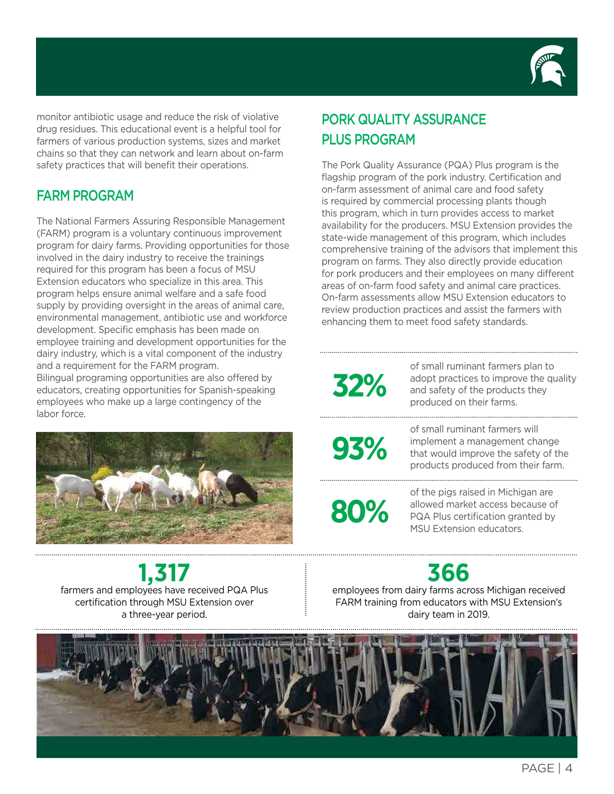

monitor antibiotic usage and reduce the risk of violative drug residues. This educational event is a helpful tool for farmers of various production systems, sizes and market chains so that they can network and learn about on-farm safety practices that will benefit their operations.

#### FARM PROGRAM

The National Farmers Assuring Responsible Management (FARM) program is a voluntary continuous improvement program for dairy farms. Providing opportunities for those involved in the dairy industry to receive the trainings required for this program has been a focus of MSU Extension educators who specialize in this area. This program helps ensure animal welfare and a safe food supply by providing oversight in the areas of animal care, environmental management, antibiotic use and workforce development. Specific emphasis has been made on employee training and development opportunities for the dairy industry, which is a vital component of the industry and a requirement for the FARM program.

Bilingual programing opportunities are also offered by educators, creating opportunities for Spanish-speaking employees who make up a large contingency of the labor force.



## **1,317**

farmers and employees have received PQA Plus certification through MSU Extension over a three-year period.

#### PORK QUALITY ASSURANCE PLUS PROGRAM

The Pork Quality Assurance (PQA) Plus program is the flagship program of the pork industry. Certification and on-farm assessment of animal care and food safety is required by commercial processing plants though this program, which in turn provides access to market availability for the producers. MSU Extension provides the state-wide management of this program, which includes comprehensive training of the advisors that implement this program on farms. They also directly provide education for pork producers and their employees on many different areas of on-farm food safety and animal care practices. On-farm assessments allow MSU Extension educators to review production practices and assist the farmers with enhancing them to meet food safety standards.

# **32%**

of small ruminant farmers plan to adopt practices to improve the quality and safety of the products they produced on their farms.

**93%**

of small ruminant farmers will implement a management change that would improve the safety of the products produced from their farm.

**80%**

of the pigs raised in Michigan are allowed market access because of PQA Plus certification granted by MSU Extension educators.

## **366**

employees from dairy farms across Michigan received FARM training from educators with MSU Extension's dairy team in 2019.